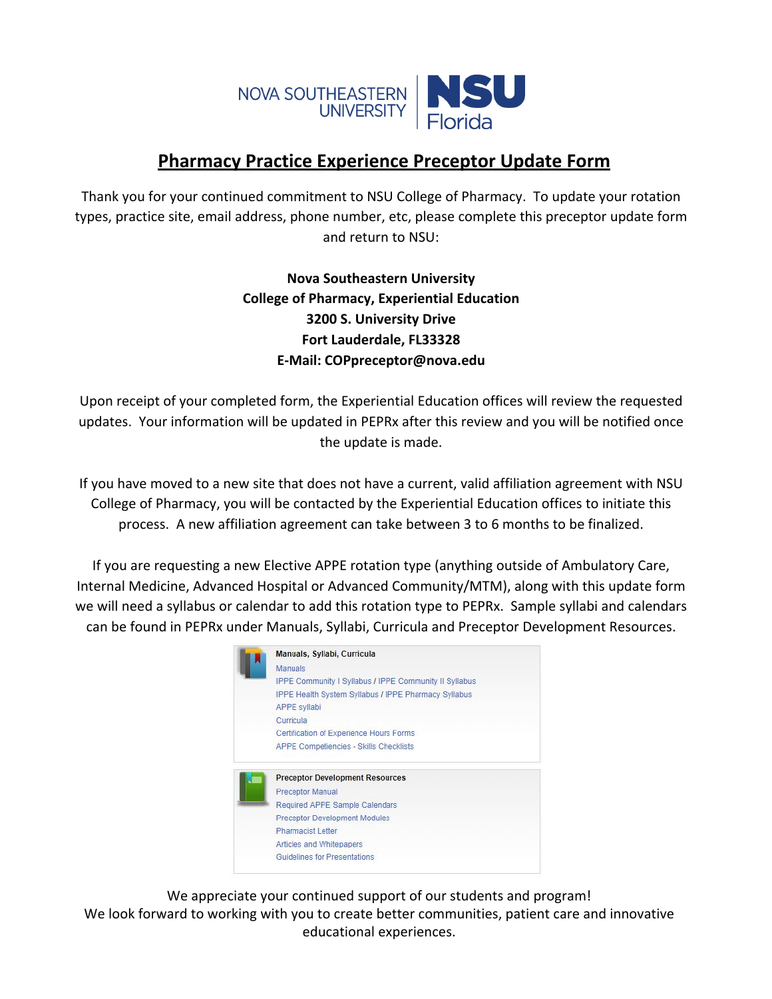

## **Pharmacy Practice Experience Preceptor Update Form**

Thank you for your continued commitment to NSU College of Pharmacy. To update your rotation types, practice site, email address, phone number, etc, please complete this preceptor update form and return to NSU:

## **Nova Southeastern University College of Pharmacy, Experiential Education 3200 S. University Drive Fort Lauderdale, FL33328 E‐Mail: COPpreceptor@nova.edu**

Upon receipt of your completed form, the Experiential Education offices will review the requested updates. Your information will be updated in PEPRx after this review and you will be notified once the update is made.

If you have moved to a new site that does not have a current, valid affiliation agreement with NSU College of Pharmacy, you will be contacted by the Experiential Education offices to initiate this process. A new affiliation agreement can take between 3 to 6 months to be finalized.

If you are requesting a new Elective APPE rotation type (anything outside of Ambulatory Care, Internal Medicine, Advanced Hospital or Advanced Community/MTM), along with this update form we will need a syllabus or calendar to add this rotation type to PEPRx. Sample syllabi and calendars can be found in PEPRx under Manuals, Syllabi, Curricula and Preceptor Development Resources.

|   | Manuals, Syllabi, Curricula                                   |
|---|---------------------------------------------------------------|
| М | <b>Manuals</b>                                                |
|   | <b>IPPE Community I Syllabus / IPPE Community II Syllabus</b> |
|   | <b>IPPE Health System Syllabus / IPPE Pharmacy Syllabus</b>   |
|   | <b>APPE syllabi</b>                                           |
|   | Curricula                                                     |
|   | Certification of Experience Hours Forms                       |
|   | <b>APPE Competiencies - Skills Checklists</b>                 |
|   | <b>Preceptor Development Resources</b>                        |
|   | <b>Preceptor Manual</b>                                       |
|   | <b>Required APPE Sample Calendars</b>                         |
|   | <b>Preceptor Development Modules</b>                          |
|   | Pharmacist Letter                                             |
|   | Articles and Whitepapers                                      |
|   | <b>Guidelines for Presentations</b>                           |

We appreciate your continued support of our students and program! We look forward to working with you to create better communities, patient care and innovative educational experiences.